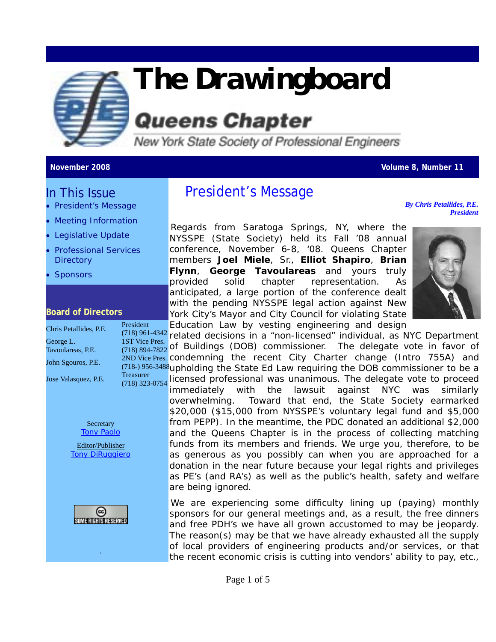

# *The Drawingboard*

## **Queens Chapter**

New York State Society of Professional Engineers

#### **November 2008 Volume 8, Number 11**

#### In This Issue

- President's Message
- Meeting Information
- Legislative Update
- Professional Services **Directory**
- **Sponsors**

#### **Board of Directors**

| Chris Petallides, P.E. | President        |  |
|------------------------|------------------|--|
|                        | $(718)$ 961-4342 |  |
| George L.              | 1ST Vice Pres.   |  |
| Tavoulareas, P.E.      | (718) 894-7822   |  |
|                        | 2ND Vice Pres.   |  |
| John Sgouros, P.E.     | $(718-)$ 956-348 |  |
| Jose Valasquez, P.E.   | <b>Treasurer</b> |  |
|                        | (718) 323-0754   |  |
|                        |                  |  |
|                        |                  |  |
|                        |                  |  |
|                        |                  |  |
| Secretary              |                  |  |



Tony DiRuggiero



.

#### President's Message

*By Chris Petallides, P.E. President*

Regards from Saratoga Springs, NY, where the NYSSPE (State Society) held its Fall '08 annual conference, November 6-8, '08. Queens Chapter members **Joel Miele**, Sr., **Elliot Shapiro**, **Brian Flynn**, **George Tavoulareas** and yours truly provided solid chapter representation. As anticipated, a large portion of the conference dealt with the pending NYSSPE legal action against New York City's Mayor and City Council for violating State Education Law by vesting engineering and design



(718) 961-4342 related decisions in a "non-licensed" individual, as NYC Department e Pres.  $\frac{(718)894-7822}{(718)894-7822}$  of Buildings (DOB) commissioner. The delegate vote in favor of  $(718)$  956-3488 upholding the State Ed Law requiring the DOB commissioner to be a  $(3-0754)$ ce Pres. condemning the recent City Charter change (Intro 755A) and licensed professional was unanimous. The delegate vote to proceed immediately with the lawsuit against NYC was similarly overwhelming. Toward that end, the State Society earmarked \$20,000 (\$15,000 from NYSSPE's voluntary legal fund and \$5,000 from PEPP). In the meantime, the PDC donated an additional \$2,000 and the Queens Chapter is in the process of collecting matching funds from its members and friends. We urge you, therefore, to be as generous as you possibly can when you are approached for a donation in the near future because your legal rights and privileges as PE's (and RA's) as well as the public's health, safety and welfare are being ignored.

> We are experiencing some difficulty lining up (paying) monthly sponsors for our general meetings and, as a result, the free dinners and free PDH's we have all grown accustomed to may be jeopardy. The reason(s) may be that we have already exhausted all the supply of local providers of engineering products and/or services, or that the recent economic crisis is cutting into vendors' ability to pay, etc.,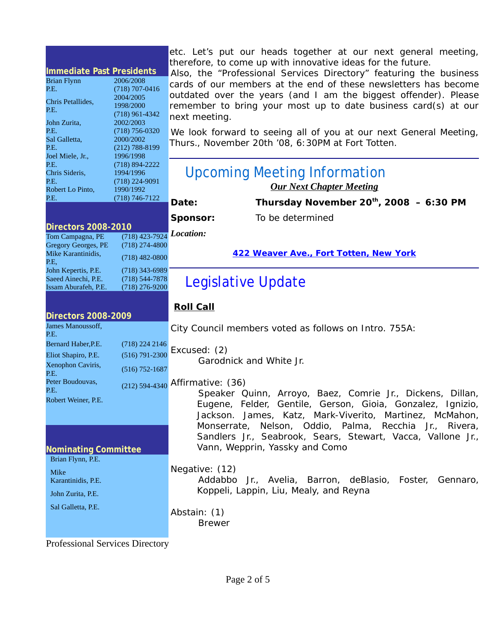| <b>Immediate Past Presidents</b><br><b>Brian Flynn</b><br>P.E.<br>Chris Petallides.<br>P.E.<br>John Zurita,<br>P.E.<br>Sal Galletta,<br>P.E.<br>Joel Miele, Jr., | 2006/2008<br>$(718)$ 707-0416<br>2004/2005<br>1998/2000<br>$(718)$ 961-4342<br>2002/2003<br>$(718) 756 - 0320$<br>2000/2002<br>$(212)$ 788-8199<br>1996/1998 | therefore, to come up with innovative ideas for the future.<br>Also, the "Professional Services Directory" featuring the business<br>cards of our members at the end of these newsletters has become<br>outdated over the years (and I am the biggest offender). Please<br>remember to bring your most up to date business card(s) at our<br>next meeting.<br>We look forward to seeing all of you at our next General Meeting,<br>Thurs., November 20th '08, 6:30PM at Fort Totten. |
|------------------------------------------------------------------------------------------------------------------------------------------------------------------|--------------------------------------------------------------------------------------------------------------------------------------------------------------|--------------------------------------------------------------------------------------------------------------------------------------------------------------------------------------------------------------------------------------------------------------------------------------------------------------------------------------------------------------------------------------------------------------------------------------------------------------------------------------|
| P.E.<br>Chris Sideris,<br>P.E.<br>Robert Lo Pinto,                                                                                                               | $(718) 894 - 2222$<br>1994/1996<br>$(718)$ 224-9091<br>1990/1992                                                                                             | <b>Upcoming Meeting Information</b><br><b>Our Next Chapter Meeting</b>                                                                                                                                                                                                                                                                                                                                                                                                               |
| P.E.                                                                                                                                                             | $(718) 746 - 7122$                                                                                                                                           | Thursday November $20^{th}$ , 2008 - 6:30 PM<br>Date:                                                                                                                                                                                                                                                                                                                                                                                                                                |
|                                                                                                                                                                  |                                                                                                                                                              | To be determined<br>Sponsor:                                                                                                                                                                                                                                                                                                                                                                                                                                                         |
| <b>Directors 2008-2010</b><br>Tom Campagna, PE<br>Gregory Georges, PE<br>Mike Karantinidis,<br>P.E,                                                              | $(718)$ 423-7924<br>$(718)$ 274-4800<br>$(718)$ 482-0800                                                                                                     | Location:<br>422 Weaver Ave., Fort Totten, New York                                                                                                                                                                                                                                                                                                                                                                                                                                  |
| John Kepertis, P.E.<br>Saeed Ainechi, P.E.<br>Issam Aburafeh, P.E.                                                                                               | $(718)$ 343-6989<br>$(718)$ 544-7878<br>$(718)$ 276-9200                                                                                                     | Legislative Update                                                                                                                                                                                                                                                                                                                                                                                                                                                                   |
|                                                                                                                                                                  |                                                                                                                                                              | <u>Roll Call</u>                                                                                                                                                                                                                                                                                                                                                                                                                                                                     |
| <b>Directors 2008-2009</b>                                                                                                                                       |                                                                                                                                                              |                                                                                                                                                                                                                                                                                                                                                                                                                                                                                      |
| James Manoussoff,<br>P.E.<br>Bernard Haber, P.E.<br>Eliot Shapiro, P.E.<br>Xenophon Caviris,                                                                     | $(718)$ 224 2146<br>$(516) 791 - 2300$                                                                                                                       | City Council members voted as follows on Intro. 755A:<br>Excused: (2)<br>Garodnick and White Jr.                                                                                                                                                                                                                                                                                                                                                                                     |
| P.E.<br>Peter Boudouvas,<br>P.E.<br>Robert Weiner, P.E.<br><b>Nominating Committee</b>                                                                           | $(516)$ 752-1687                                                                                                                                             | (212) 594-4340 Affirmative: (36)<br>Speaker Quinn, Arroyo, Baez, Comrie Jr., Dickens, Dillan,<br>Eugene, Felder, Gentile, Gerson, Gioia, Gonzalez, Ignizio,<br>Jackson. James, Katz, Mark-Viverito, Martinez, McMahon,<br>Monserrate, Nelson, Oddio, Palma, Recchia Jr., Rivera,<br>Sandlers Jr., Seabrook, Sears, Stewart, Vacca, Vallone Jr.,<br>Vann, Wepprin, Yassky and Como                                                                                                    |
| Brian Flynn, P.E.<br>Mike<br>Karantinidis, P.E.<br>John Zurita, P.E.                                                                                             |                                                                                                                                                              | Negative: (12)<br>Addabbo Jr., Avelia, Barron, deBlasio, Foster, Gennaro,<br>Koppeli, Lappin, Liu, Mealy, and Reyna                                                                                                                                                                                                                                                                                                                                                                  |

etc. Let's put our heads together at our next general meeting,

Professional Services Directory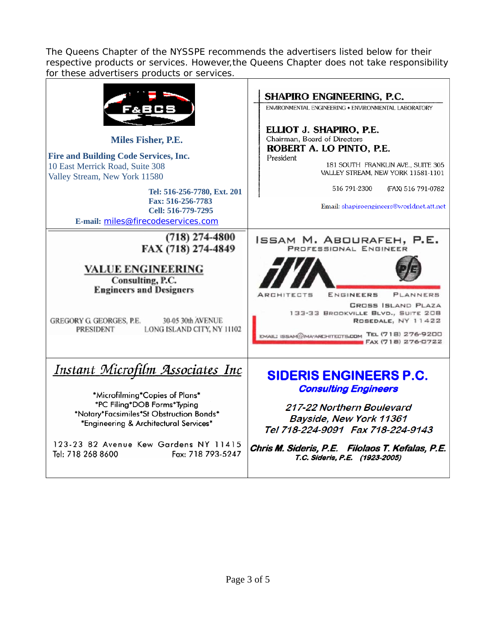The Queens Chapter of the NYSSPE recommends the advertisers listed below for their respective products or services. However,the Queens Chapter does not take responsibility for these advertisers products or services.

| <b>Miles Fisher, P.E.</b><br><b>Fire and Building Code Services, Inc.</b><br>10 East Merrick Road, Suite 308<br>Valley Stream, New York 11580<br>Tel: 516-256-7780, Ext. 201<br>Fax: 516-256-7783<br>Cell: 516-779-7295<br>E-mail: miles@firecodeservices.com                     | <b>SHAPIRO ENGINEERING, P.C.</b><br>ENVIRONMENTAL ENGINEERING . ENVIRONMENTAL LABORATORY<br>ELLIOT J. SHAPIRO, P.E.<br>Chairman, Board of Directors<br>ROBERT A. LO PINTO, P.E.<br>President<br>181 SOUTH FRANKLIN AVE., SUITE 305<br>VALLEY STREAM, NEW YORK 11581-1101<br>516 791-2300<br>(FAX) 516 791-0782<br>Email: shapiroengineers@worldnet.att.net |
|-----------------------------------------------------------------------------------------------------------------------------------------------------------------------------------------------------------------------------------------------------------------------------------|------------------------------------------------------------------------------------------------------------------------------------------------------------------------------------------------------------------------------------------------------------------------------------------------------------------------------------------------------------|
| $(718)$ 274-4800<br>FAX (718) 274-4849<br><b>VALUE ENGINEERING</b><br>Consulting, P.C.<br><b>Engineers and Designers</b><br>30-05 30th AVENUE<br><b>GREGORY G GEORGES, P.E.</b><br><b>PRESIDENT</b><br>LONG ISLAND CITY, NY 11102                                                 | ISSAM M. ABOURAFEH, P.E.<br>PROFESSIONAL ENGINEER<br>ENGINEERS<br>PLANNERS<br><b>ARCHITECTS</b><br><b>CROSS ISLAND PLAZA</b><br>133-33 BROOKVILLE BLVD., SUITE 208<br>ROSEDALE, NY 11422<br>EMAILI ISSAM@IMA-ARCHITECTS.COM TEL (718) 276-9200<br>FAX (718) 276-0722                                                                                       |
| <u>Instant Microfilm Associates Inc</u><br>*Microfilming*Copies of Plans*<br>*PC Filing*DOB Forms*Typing<br>*Notary*Facsimiles*St Obstruction Bonds*<br>*Engineering & Architectural Services*<br>123-23 82 Avenue Kew Gardens NY 11415<br>Tel: 718 268 8600<br>Fax: 718 793-5247 | <b>SIDERIS ENGINEERS P.C.</b><br><b>Consulting Engineers</b><br>217-22 Northern Boulevard<br>Bayside, New York 11361<br>Tel 718-224-9091 Fax 718-224-9143<br>Chris M. Sideris, P.E. Filolaos T. Kefalas, P.E.<br>T.C. Sideris, P.E. (1923-2005)                                                                                                            |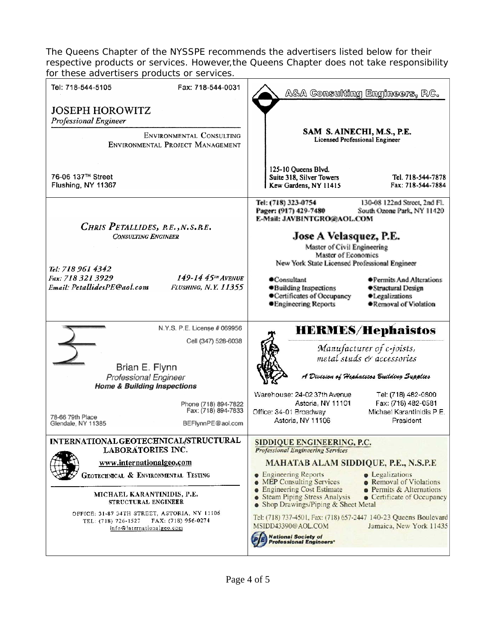The Queens Chapter of the NYSSPE recommends the advertisers listed below for their respective products or services. However,the Queens Chapter does not take responsibility for these advertisers products or services.

| Tel: 718-544-5105<br>Fax: 718-544-0031                                                                                                                                                                                                                                                                         | A&A Consulting Engineers, P.C.                                                                                                                                                                                                                                                                                                                                                                                                                                                                                                                                                                  |
|----------------------------------------------------------------------------------------------------------------------------------------------------------------------------------------------------------------------------------------------------------------------------------------------------------------|-------------------------------------------------------------------------------------------------------------------------------------------------------------------------------------------------------------------------------------------------------------------------------------------------------------------------------------------------------------------------------------------------------------------------------------------------------------------------------------------------------------------------------------------------------------------------------------------------|
| <b>JOSEPH HOROWITZ</b><br><b>Professional Engineer</b><br>ENVIRONMENTAL CONSULTING<br>ENVIRONMENTAL PROJECT MANAGEMENT                                                                                                                                                                                         | SAM S. AINECHI, M.S., P.E.<br><b>Licensed Professional Engineer</b>                                                                                                                                                                                                                                                                                                                                                                                                                                                                                                                             |
| 76-06 137 <sup>TH</sup> Street<br>Flushing, NY 11367                                                                                                                                                                                                                                                           | 125-10 Oueens Blvd.<br>Suite 318, Silver Towers<br>Tel. 718-544-7878<br>Kew Gardens, NY 11415<br>Fax: 718-544-7884                                                                                                                                                                                                                                                                                                                                                                                                                                                                              |
| CHRIS PETALLIDES, R.E., N.S.R.E.<br><b>CONSULTING ENGINEER</b>                                                                                                                                                                                                                                                 | Tel: (718) 323-0754<br>130-08 122nd Street, 2nd Fl.<br>Pager: (917) 429-7480<br>South Ozone Park, NY 11420<br>E-Mail: JAVBINTGRO@AOL.COM<br>Jose A Velasquez, P.E.<br>Master of Civil Engineering<br>Master of Economics                                                                                                                                                                                                                                                                                                                                                                        |
| Tel: 718 961 4342<br>149-14 45TH AVENUE<br>Fax: 718 321 3929<br>Email: PetallidesPE@aol.com<br>FLUSHING, N.Y. 11355                                                                                                                                                                                            | New York State Licensed Professional Engineer<br>Consultant<br><b>● Permits And Alterations</b><br>·Building Inspections<br>●Structural Design<br>Certificates of Occupancy<br>·Legalizations<br><b>•Engineering Reports</b><br>●Removal of Violation                                                                                                                                                                                                                                                                                                                                           |
| N.Y.S. P.E. License # 069956<br>Cell (347) 528-6038<br>Brian E. Flynn<br><b>Professional Engineer</b><br><b>Home &amp; Building Inspections</b><br>Phone (718) 894-7822<br>Fax: (718) 894-7833<br>78-66 79th Place<br>BEFlynnPE@aol.com<br>Glendale, NY 11385                                                  | <b>HERMES/Hephaistos</b><br>Manufacturer of c-joists,<br>metal studs & accessories<br>A Division of Hephaistos Building Supplies<br>Warehouse: 24-02 37th Avenue<br>Tel: (718) 482-0800<br>Astoria, NY 11101<br>Fax: (718) 482-0581<br>Michael Karantinidis P.E.<br>Office: 34-01 Broadway<br>Astoria, NY 11106<br>President                                                                                                                                                                                                                                                                    |
| INTERNATIONAL GEOTECHNICAL/STRUCTURAL<br>LABORATORIES INC.<br>www.internationalgeo.com<br>GEOTECHNICAL & ENVIRONMENTAL TESTING<br>MICHAEL KARANTINIDIS, P.E.<br>STRUCTURAL ENGINEER<br>OFFICE: 31-87 34TH STREET, ASTORIA, NY 11106<br>FAX: (718) 956-0274<br>TEL: (718) 726-1527<br>info@internationalgeo.com | SIDDIQUE ENGINEERING, P.C.<br><b>Professional Engineering Services</b><br><b>MAHATAB ALAM SIDDIQUE, P.E., N.S.P.E</b><br>• Engineering Reports<br>• Legalizations<br><b>. MEP Consulting Services</b><br>• Removal of Violations<br><b>• Engineering Cost Estimate</b><br>• Permits & Alternations<br>• Steam Piping Stress Analysis<br>• Certificate of Occupancy<br>• Shop Drawings/Piping & Sheet Metal<br>Tel: (718) 737-4501, Fax: (718) 657-2447 140-23 Queens Boulevard<br>MSIDD43390@AOL.COM<br>Jamaica, New York 11435<br><b>National Society of</b><br><b>Professional Engineers'</b> |